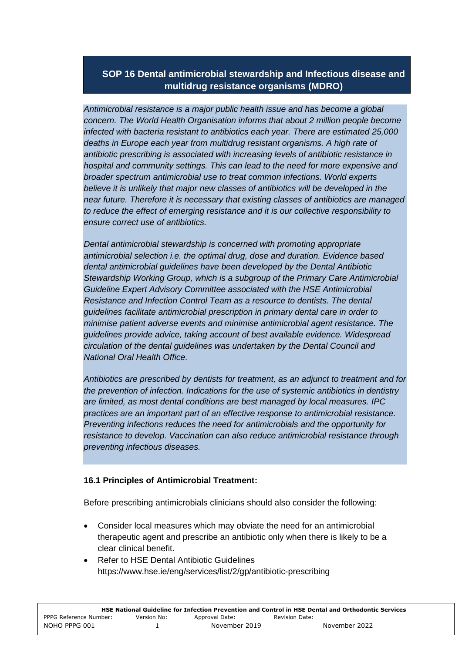# **SOP 16 Dental antimicrobial stewardship and Infectious disease and multidrug resistance organisms (MDRO)**

*Antimicrobial resistance is a major public health issue and has become a global concern. The World Health Organisation informs that about 2 million people become infected with bacteria resistant to antibiotics each year. There are estimated 25,000 deaths in Europe each year from multidrug resistant organisms. A high rate of antibiotic prescribing is associated with increasing levels of antibiotic resistance in hospital and community settings. This can lead to the need for more expensive and broader spectrum antimicrobial use to treat common infections. World experts*  believe it is unlikely that major new classes of antibiotics will be developed in the *near future. Therefore it is necessary that existing classes of antibiotics are managed to reduce the effect of emerging resistance and it is our collective responsibility to ensure correct use of antibiotics.* 

*Dental antimicrobial stewardship is concerned with promoting appropriate antimicrobial selection i.e. the optimal drug, dose and duration. Evidence based dental antimicrobial guidelines have been developed by the Dental Antibiotic Stewardship Working Group, which is a subgroup of the Primary Care Antimicrobial Guideline Expert Advisory Committee associated with the HSE Antimicrobial Resistance and Infection Control Team as a resource to dentists. The dental guidelines facilitate antimicrobial prescription in primary dental care in order to minimise patient adverse events and minimise antimicrobial agent resistance. The guidelines provide advice, taking account of best available evidence. Widespread circulation of the dental guidelines was undertaken by the Dental Council and National Oral Health Office.* 

*Antibiotics are prescribed by dentists for treatment, as an adjunct to treatment and for the prevention of infection. Indications for the use of systemic antibiotics in dentistry are limited, as most dental conditions are best managed by local measures. IPC practices are an important part of an effective response to antimicrobial resistance. Preventing infections reduces the need for antimicrobials and the opportunity for resistance to develop. Vaccination can also reduce antimicrobial resistance through preventing infectious diseases.* 

#### **16.1 Principles of Antimicrobial Treatment:**

Before prescribing antimicrobials clinicians should also consider the following:

- Consider local measures which may obviate the need for an antimicrobial therapeutic agent and prescribe an antibiotic only when there is likely to be a clear clinical benefit.
- Refer to HSE Dental Antibiotic Guidelines https://www.hse.ie/eng/services/list/2/gp/antibiotic-prescribing

| HSE National Guideline for Infection Prevention and Control in HSE Dental and Orthodontic Services |             |                |                |               |
|----------------------------------------------------------------------------------------------------|-------------|----------------|----------------|---------------|
| PPPG Reference Number:                                                                             | Version No: | Approval Date: | Revision Date: |               |
| NOHO PPPG 001                                                                                      |             | November 2019  |                | November 2022 |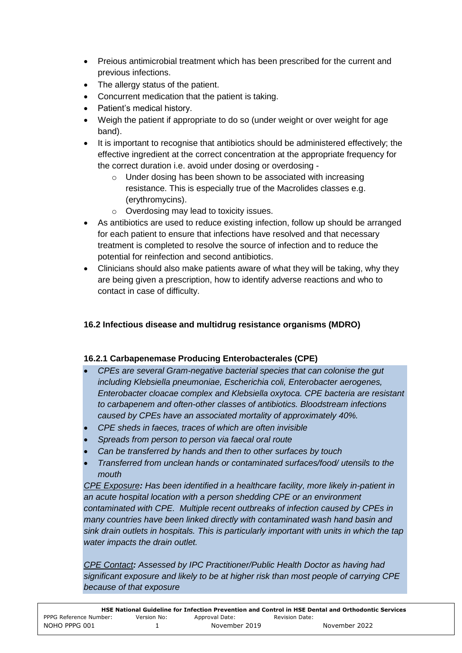- Preious antimicrobial treatment which has been prescribed for the current and previous infections.
- The allergy status of the patient.
- Concurrent medication that the patient is taking.
- Patient's medical history.
- Weigh the patient if appropriate to do so (under weight or over weight for age band).
- It is important to recognise that antibiotics should be administered effectively; the effective ingredient at the correct concentration at the appropriate frequency for the correct duration i.e. avoid under dosing or overdosing -
	- $\circ$  Under dosing has been shown to be associated with increasing resistance. This is especially true of the Macrolides classes e.g. (erythromycins).
	- o Overdosing may lead to toxicity issues.
- As antibiotics are used to reduce existing infection, follow up should be arranged for each patient to ensure that infections have resolved and that necessary treatment is completed to resolve the source of infection and to reduce the potential for reinfection and second antibiotics.
- Clinicians should also make patients aware of what they will be taking, why they are being given a prescription, how to identify adverse reactions and who to contact in case of difficulty.

# **16.2 Infectious disease and multidrug resistance organisms (MDRO)**

# **16.2.1 Carbapenemase Producing Enterobacterales (CPE)**

- *CPEs are several Gram-negative bacterial species that can colonise the gut including Klebsiella pneumoniae, Escherichia coli, Enterobacter aerogenes, Enterobacter cloacae complex and Klebsiella oxytoca. CPE bacteria are resistant to carbapenem and often-other classes of antibiotics. Bloodstream infections caused by CPEs have an associated mortality of approximately 40%.*
- *CPE sheds in faeces, traces of which are often invisible*
- *Spreads from person to person via faecal oral route*
- *Can be transferred by hands and then to other surfaces by touch*
- *Transferred from unclean hands or contaminated surfaces/food/ utensils to the mouth*

*CPE Exposure: Has been identified in a healthcare facility, more likely in-patient in an acute hospital location with a person shedding CPE or an environment contaminated with CPE. Multiple recent outbreaks of infection caused by CPEs in many countries have been linked directly with contaminated wash hand basin and sink drain outlets in hospitals. This is particularly important with units in which the tap water impacts the drain outlet.* 

*CPE Contact: Assessed by IPC Practitioner/Public Health Doctor as having had significant exposure and likely to be at higher risk than most people of carrying CPE because of that exposure*

| HSE National Guideline for Infection Prevention and Control in HSE Dental and Orthodontic Services |             |                |                |  |
|----------------------------------------------------------------------------------------------------|-------------|----------------|----------------|--|
| PPPG Reference Number:                                                                             | Version No: | Approval Date: | Revision Date: |  |
| NOHO PPPG 001                                                                                      |             | November 2019  | November 2022  |  |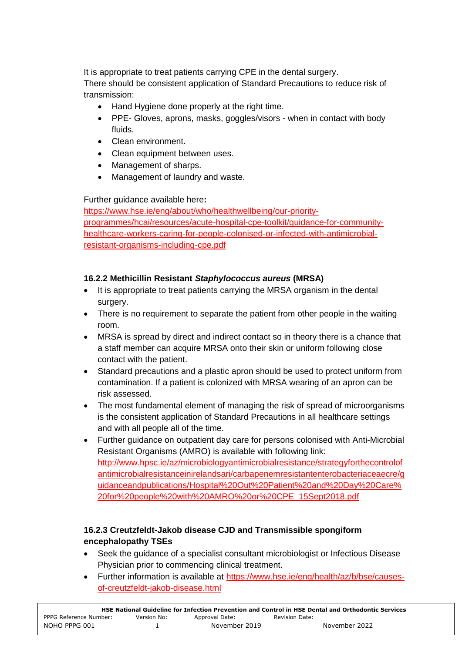It is appropriate to treat patients carrying CPE in the dental surgery. There should be consistent application of Standard Precautions to reduce risk of transmission:

- Hand Hygiene done properly at the right time.
- PPE- Gloves, aprons, masks, goggles/visors when in contact with body fluids.
- Clean environment
- Clean equipment between uses.
- Management of sharps.
- Management of laundry and waste.

# Further guidance available here**:**

[https://www.hse.ie/eng/about/who/healthwellbeing/our-priority](https://www.hse.ie/eng/about/who/healthwellbeing/our-priority-programmes/hcai/resources/acute-hospital-cpe-toolkit/guidance-for-community-healthcare-workers-caring-for-people-colonised-or-infected-with-antimicrobial-resistant-organisms-including-cpe.pdf)[programmes/hcai/resources/acute-hospital-cpe-toolkit/guidance-for-community](https://www.hse.ie/eng/about/who/healthwellbeing/our-priority-programmes/hcai/resources/acute-hospital-cpe-toolkit/guidance-for-community-healthcare-workers-caring-for-people-colonised-or-infected-with-antimicrobial-resistant-organisms-including-cpe.pdf)[healthcare-workers-caring-for-people-colonised-or-infected-with-antimicrobial](https://www.hse.ie/eng/about/who/healthwellbeing/our-priority-programmes/hcai/resources/acute-hospital-cpe-toolkit/guidance-for-community-healthcare-workers-caring-for-people-colonised-or-infected-with-antimicrobial-resistant-organisms-including-cpe.pdf)[resistant-organisms-including-cpe.pdf](https://www.hse.ie/eng/about/who/healthwellbeing/our-priority-programmes/hcai/resources/acute-hospital-cpe-toolkit/guidance-for-community-healthcare-workers-caring-for-people-colonised-or-infected-with-antimicrobial-resistant-organisms-including-cpe.pdf)

# **16.2.2 Methicillin Resistant** *Staphylococcus aureus* **(MRSA)**

- It is appropriate to treat patients carrying the MRSA organism in the dental surgery.
- There is no requirement to separate the patient from other people in the waiting room.
- MRSA is spread by direct and indirect contact so in theory there is a chance that a staff member can acquire MRSA onto their skin or uniform following close contact with the patient.
- Standard precautions and a plastic apron should be used to protect uniform from contamination. If a patient is colonized with MRSA wearing of an apron can be risk assessed.
- The most fundamental element of managing the risk of spread of microorganisms is the consistent application of Standard Precautions in all healthcare settings and with all people all of the time.
- Further guidance on outpatient day care for persons colonised with Anti-Microbial Resistant Organisms (AMRO) is available with following link: [http://www.hpsc.ie/az/microbiologyantimicrobialresistance/strategyforthecontrolof](http://www.hpsc.ie/az/microbiologyantimicrobialresistance/strategyforthecontrolofantimicrobialresistanceinirelandsari/carbapenemresistantenterobacteriaceaecre/guidanceandpublications/Hospital%20Out%20Patient%20and%20Day%20Care%20for%20people%20with%20AMRO%20or%20CPE_15Sept2018.pdf) [antimicrobialresistanceinirelandsari/carbapenemresistantenterobacteriaceaecre/g](http://www.hpsc.ie/az/microbiologyantimicrobialresistance/strategyforthecontrolofantimicrobialresistanceinirelandsari/carbapenemresistantenterobacteriaceaecre/guidanceandpublications/Hospital%20Out%20Patient%20and%20Day%20Care%20for%20people%20with%20AMRO%20or%20CPE_15Sept2018.pdf) [uidanceandpublications/Hospital%20Out%20Patient%20and%20Day%20Care%](http://www.hpsc.ie/az/microbiologyantimicrobialresistance/strategyforthecontrolofantimicrobialresistanceinirelandsari/carbapenemresistantenterobacteriaceaecre/guidanceandpublications/Hospital%20Out%20Patient%20and%20Day%20Care%20for%20people%20with%20AMRO%20or%20CPE_15Sept2018.pdf) [20for%20people%20with%20AMRO%20or%20CPE\\_15Sept2018.pdf](http://www.hpsc.ie/az/microbiologyantimicrobialresistance/strategyforthecontrolofantimicrobialresistanceinirelandsari/carbapenemresistantenterobacteriaceaecre/guidanceandpublications/Hospital%20Out%20Patient%20and%20Day%20Care%20for%20people%20with%20AMRO%20or%20CPE_15Sept2018.pdf)

# **16.2.3 Creutzfeldt-Jakob disease CJD and Transmissible spongiform encephalopathy TSEs**

- Seek the guidance of a specialist consultant microbiologist or Infectious Disease Physician prior to commencing clinical treatment.
- Further information is available at [https://www.hse.ie/eng/health/az/b/bse/causes](https://www.hse.ie/eng/health/az/b/bse/causes-of-creutzfeldt-jakob-disease.html)[of-creutzfeldt-jakob-disease.html](https://www.hse.ie/eng/health/az/b/bse/causes-of-creutzfeldt-jakob-disease.html)

| HSE National Guideline for Infection Prevention and Control in HSE Dental and Orthodontic Services |             |                |                |               |
|----------------------------------------------------------------------------------------------------|-------------|----------------|----------------|---------------|
| PPPG Reference Number:                                                                             | Version No: | Approval Date: | Revision Date: |               |
| NOHO PPPG 001                                                                                      |             | November 2019  |                | November 2022 |